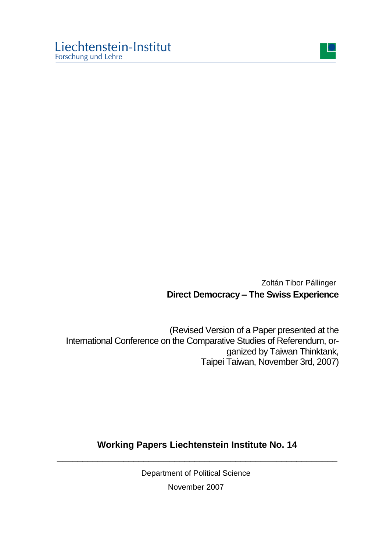

Zoltán Tibor Pállinger **Direct Democracy – The Swiss Experience**

(Revised Version of a Paper presented at the International Conference on the Comparative Studies of Referendum, organized by Taiwan Thinktank, Taipei Taiwan, November 3rd, 2007)

## **Working Papers Liechtenstein Institute No. 14** \_\_\_\_\_\_\_\_\_\_\_\_\_\_\_\_\_\_\_\_\_\_\_\_\_\_\_\_\_\_\_\_\_\_\_\_\_\_\_\_\_\_\_\_\_\_\_\_\_\_\_\_\_\_\_

Department of Political Science November 2007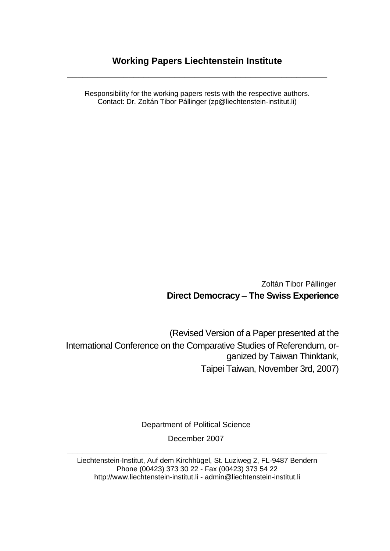## **Working Papers Liechtenstein Institute**

**\_\_\_\_\_\_\_\_\_\_\_\_\_\_\_\_\_\_\_\_\_\_\_\_\_\_\_\_\_\_\_\_\_\_\_\_\_\_\_\_\_\_\_\_\_\_\_\_\_\_\_**

Responsibility for the working papers rests with the respective authors. Contact: Dr. Zoltán Tibor Pállinger (zp@liechtenstein-institut.li)

> Zoltán Tibor Pállinger **Direct Democracy – The Swiss Experience**

(Revised Version of a Paper presented at the International Conference on the Comparative Studies of Referendum, organized by Taiwan Thinktank, Taipei Taiwan, November 3rd, 2007)

Department of Political Science

December 2007 **\_\_\_\_\_\_\_\_\_\_\_\_\_\_\_\_\_\_\_\_\_\_\_\_\_\_\_\_\_\_\_\_\_\_\_\_\_\_\_\_\_\_\_\_\_\_\_\_\_\_\_**

Liechtenstein-Institut, Auf dem Kirchhügel, St. Luziweg 2, FL-9487 Bendern Phone (00423) 373 30 22 - Fax (00423) 373 54 22 http://www.liechtenstein-institut.li - [admin@liechtenstein-institut.li](mailto:admin@liechtenstein-institut.li)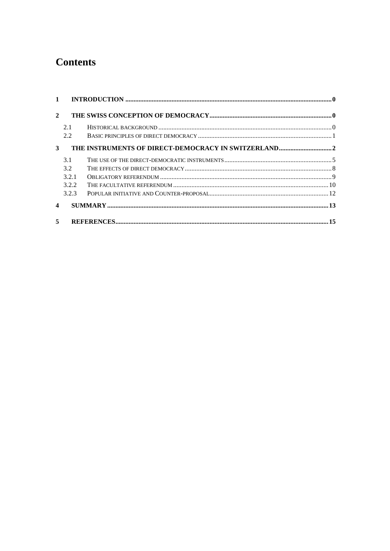# **Contents**

| $\mathcal{D}_{\alpha}$  |       |    |
|-------------------------|-------|----|
|                         | 2.1   |    |
|                         | 2.2   |    |
| 3                       |       |    |
|                         | 3.1   |    |
|                         | 3.2   |    |
|                         | 3.2.1 |    |
|                         | 3.2.2 |    |
|                         | 3.2.3 |    |
| $\overline{\mathbf{4}}$ |       |    |
| 5                       |       | 15 |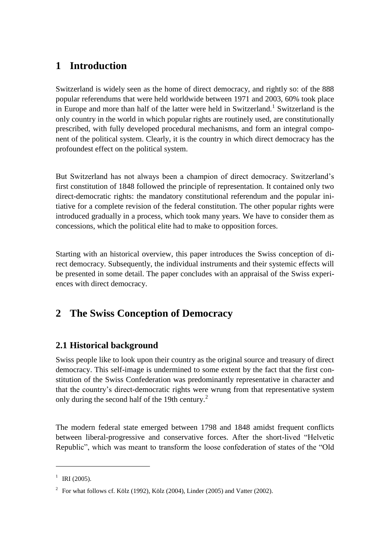## **1 Introduction**

Switzerland is widely seen as the home of direct democracy, and rightly so: of the 888 popular referendums that were held worldwide between 1971 and 2003, 60% took place in Europe and more than half of the latter were held in Switzerland.<sup>1</sup> Switzerland is the only country in the world in which popular rights are routinely used, are constitutionally prescribed, with fully developed procedural mechanisms, and form an integral component of the political system. Clearly, it is the country in which direct democracy has the profoundest effect on the political system.

But Switzerland has not always been a champion of direct democracy. Switzerland"s first constitution of 1848 followed the principle of representation. It contained only two direct-democratic rights: the mandatory constitutional referendum and the popular initiative for a complete revision of the federal constitution. The other popular rights were introduced gradually in a process, which took many years. We have to consider them as concessions, which the political elite had to make to opposition forces.

Starting with an historical overview, this paper introduces the Swiss conception of direct democracy. Subsequently, the individual instruments and their systemic effects will be presented in some detail. The paper concludes with an appraisal of the Swiss experiences with direct democracy.

# **2 The Swiss Conception of Democracy**

## **2.1 Historical background**

Swiss people like to look upon their country as the original source and treasury of direct democracy. This self-image is undermined to some extent by the fact that the first constitution of the Swiss Confederation was predominantly representative in character and that the country"s direct-democratic rights were wrung from that representative system only during the second half of the 19th century.<sup>2</sup>

The modern federal state emerged between 1798 and 1848 amidst frequent conflicts between liberal-progressive and conservative forces. After the short-lived "Helvetic Republic", which was meant to transform the loose confederation of states of the "Old

<sup>&</sup>lt;sup>1</sup> IRI (2005).

<sup>&</sup>lt;sup>2</sup> For what follows cf. Kölz (1992), Kölz (2004), Linder (2005) and Vatter (2002).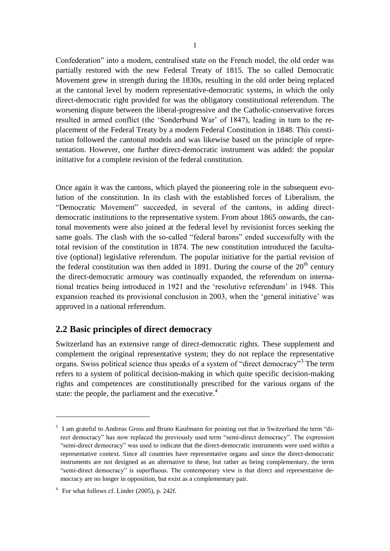Confederation" into a modern, centralised state on the French model, the old order was partially restored with the new Federal Treaty of 1815. The so called Democratic Movement grew in strength during the 1830s, resulting in the old order being replaced at the cantonal level by modern representative-democratic systems, in which the only direct-democratic right provided for was the obligatory constitutional referendum. The worsening dispute between the liberal-progressive and the Catholic-conservative forces resulted in armed conflict (the "Sonderbund War" of 1847), leading in turn to the replacement of the Federal Treaty by a modern Federal Constitution in 1848. This constitution followed the cantonal models and was likewise based on the principle of representation. However, one further direct-democratic instrument was added: the popular initiative for a complete revision of the federal constitution.

Once again it was the cantons, which played the pioneering role in the subsequent evolution of the constitution. In its clash with the established forces of Liberalism, the "Democratic Movement" succeeded, in several of the cantons, in adding directdemocratic institutions to the representative system. From about 1865 onwards, the cantonal movements were also joined at the federal level by revisionist forces seeking the same goals. The clash with the so-called "federal barons" ended successfully with the total revision of the constitution in 1874. The new constitution introduced the facultative (optional) legislative referendum. The popular initiative for the partial revision of the federal constitution was then added in 1891. During the course of the  $20<sup>th</sup>$  century the direct-democratic armoury was continually expanded, the referendum on international treaties being introduced in 1921 and the "resolutive referendum" in 1948. This expansion reached its provisional conclusion in 2003, when the 'general initiative' was approved in a national referendum.

### **2.2 Basic principles of direct democracy**

Switzerland has an extensive range of direct-democratic rights. These supplement and complement the original representative system; they do not replace the representative organs. Swiss political science thus speaks of a system of "direct democracy"<sup>3</sup> The term refers to a system of political decision-making in which quite specific decision-making rights and competences are constitutionally prescribed for the various organs of the state: the people, the parliament and the executive. $4$ 

<sup>&</sup>lt;sup>3</sup> I am grateful to Andreas Gross and Bruno Kaufmann for pointing out that in Switzerland the term "direct democracy" has now replaced the previously used term "semi-direct democracy". The expression "semi-direct democracy" was used to indicate that the direct-democratic instruments were used within a representative context. Since all countries have representative organs and since the direct-democratic instruments are not designed as an alternative to these, but rather as being complementary, the term "semi-direct democracy" is superfluous. The contemporary view is that direct and representative democracy are no longer in opposition, but exist as a complementary pair.

<sup>&</sup>lt;sup>4</sup> For what follows cf. Linder (2005), p. 242f.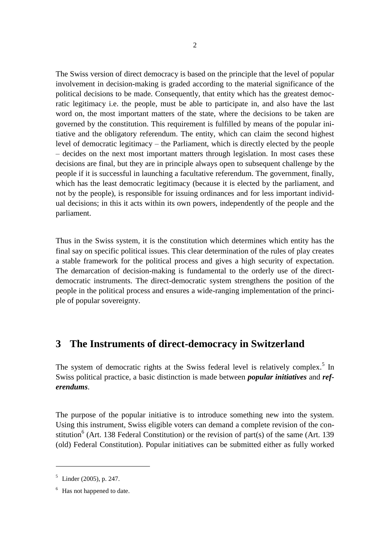The Swiss version of direct democracy is based on the principle that the level of popular involvement in decision-making is graded according to the material significance of the political decisions to be made. Consequently, that entity which has the greatest democratic legitimacy i.e. the people, must be able to participate in, and also have the last word on, the most important matters of the state, where the decisions to be taken are governed by the constitution. This requirement is fulfilled by means of the popular initiative and the obligatory referendum. The entity, which can claim the second highest level of democratic legitimacy – the Parliament, which is directly elected by the people – decides on the next most important matters through legislation. In most cases these decisions are final, but they are in principle always open to subsequent challenge by the people if it is successful in launching a facultative referendum. The government, finally, which has the least democratic legitimacy (because it is elected by the parliament, and not by the people), is responsible for issuing ordinances and for less important individual decisions; in this it acts within its own powers, independently of the people and the parliament.

Thus in the Swiss system, it is the constitution which determines which entity has the final say on specific political issues. This clear determination of the rules of play creates a stable framework for the political process and gives a high security of expectation. The demarcation of decision-making is fundamental to the orderly use of the directdemocratic instruments. The direct-democratic system strengthens the position of the people in the political process and ensures a wide-ranging implementation of the principle of popular sovereignty.

## **3 The Instruments of direct-democracy in Switzerland**

The system of democratic rights at the Swiss federal level is relatively complex.<sup>5</sup> In Swiss political practice, a basic distinction is made between *popular initiatives* and *referendums*.

The purpose of the popular initiative is to introduce something new into the system. Using this instrument, Swiss eligible voters can demand a complete revision of the constitution<sup>6</sup> (Art. 138 Federal Constitution) or the revision of part(s) of the same (Art. 139 (old) Federal Constitution). Popular initiatives can be submitted either as fully worked

 $5$  Linder (2005), p. 247.

<sup>&</sup>lt;sup>6</sup> Has not happened to date.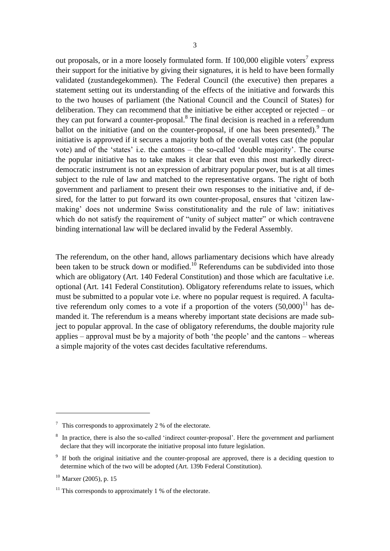out proposals, or in a more loosely formulated form. If  $100,000$  eligible voters<sup>7</sup> express their support for the initiative by giving their signatures, it is held to have been formally validated (zustandegekommen). The Federal Council (the executive) then prepares a statement setting out its understanding of the effects of the initiative and forwards this to the two houses of parliament (the National Council and the Council of States) for deliberation. They can recommend that the initiative be either accepted or rejected – or they can put forward a counter-proposal. $8$  The final decision is reached in a referendum ballot on the initiative (and on the counter-proposal, if one has been presented). <sup>9</sup> The initiative is approved if it secures a majority both of the overall votes cast (the popular vote) and of the "states" i.e. the cantons – the so-called "double majority". The course the popular initiative has to take makes it clear that even this most markedly directdemocratic instrument is not an expression of arbitrary popular power, but is at all times subject to the rule of law and matched to the representative organs. The right of both government and parliament to present their own responses to the initiative and, if desired, for the latter to put forward its own counter-proposal, ensures that "citizen lawmaking" does not undermine Swiss constitutionality and the rule of law: initiatives which do not satisfy the requirement of "unity of subject matter" or which contravene binding international law will be declared invalid by the Federal Assembly.

The referendum, on the other hand, allows parliamentary decisions which have already been taken to be struck down or modified.<sup>10</sup> Referendums can be subdivided into those which are obligatory (Art. 140 Federal Constitution) and those which are facultative *i.e.* optional (Art. 141 Federal Constitution). Obligatory referendums relate to issues, which must be submitted to a popular vote i.e. where no popular request is required. A facultative referendum only comes to a vote if a proportion of the voters  $(50,000)^{11}$  has demanded it. The referendum is a means whereby important state decisions are made subject to popular approval. In the case of obligatory referendums, the double majority rule applies – approval must be by a majority of both "the people" and the cantons – whereas a simple majority of the votes cast decides facultative referendums.

<u>.</u>

 $\frac{7}{1}$  This corresponds to approximately 2 % of the electorate.

<sup>&</sup>lt;sup>8</sup> In practice, there is also the so-called 'indirect counter-proposal'. Here the government and parliament declare that they will incorporate the initiative proposal into future legislation.

<sup>&</sup>lt;sup>9</sup> If both the original initiative and the counter-proposal are approved, there is a deciding question to determine which of the two will be adopted (Art. 139b Federal Constitution).

 $10$  Marxer (2005), p. 15

 $11$ <sup>11</sup> This corresponds to approximately 1 % of the electorate.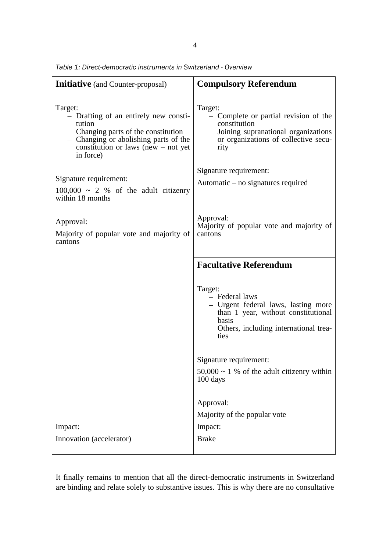| <b>Initiative</b> (and Counter-proposal)                                                                                                                                                          | <b>Compulsory Referendum</b>                                                                                                                                        |  |  |  |
|---------------------------------------------------------------------------------------------------------------------------------------------------------------------------------------------------|---------------------------------------------------------------------------------------------------------------------------------------------------------------------|--|--|--|
| Target:<br>- Drafting of an entirely new consti-<br>tution<br>- Changing parts of the constitution<br>- Changing or abolishing parts of the<br>constitution or laws (new $-$ not yet<br>in force) | Target:<br>- Complete or partial revision of the<br>constitution<br>- Joining supranational organizations<br>or organizations of collective secu-<br>rity           |  |  |  |
| Signature requirement:<br>$100,000 \sim 2$ % of the adult citizenry<br>within 18 months                                                                                                           | Signature requirement:<br>Automatic – no signatures required                                                                                                        |  |  |  |
| Approval:<br>Majority of popular vote and majority of<br>cantons                                                                                                                                  | Approval:<br>Majority of popular vote and majority of<br>cantons                                                                                                    |  |  |  |
|                                                                                                                                                                                                   | <b>Facultative Referendum</b>                                                                                                                                       |  |  |  |
|                                                                                                                                                                                                   | Target:<br>- Federal laws<br>- Urgent federal laws, lasting more<br>than 1 year, without constitutional<br>basis<br>- Others, including international trea-<br>ties |  |  |  |
|                                                                                                                                                                                                   | Signature requirement:                                                                                                                                              |  |  |  |
|                                                                                                                                                                                                   | $50,000 \sim 1$ % of the adult citizenry within<br>$100 \text{ days}$                                                                                               |  |  |  |
|                                                                                                                                                                                                   | Approval:                                                                                                                                                           |  |  |  |
|                                                                                                                                                                                                   | Majority of the popular vote                                                                                                                                        |  |  |  |
| Impact:                                                                                                                                                                                           | Impact:                                                                                                                                                             |  |  |  |
| Innovation (accelerator)                                                                                                                                                                          | <b>Brake</b>                                                                                                                                                        |  |  |  |

*Table 1: Direct-democratic instruments in Switzerland - Overview*

It finally remains to mention that all the direct-democratic instruments in Switzerland are binding and relate solely to substantive issues. This is why there are no consultative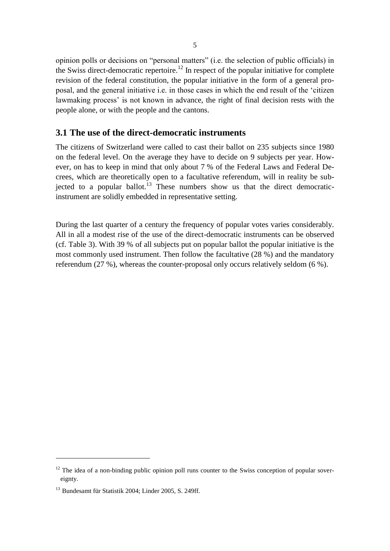opinion polls or decisions on "personal matters" (i.e. the selection of public officials) in the Swiss direct-democratic repertoire.<sup>12</sup> In respect of the popular initiative for complete revision of the federal constitution, the popular initiative in the form of a general proposal, and the general initiative i.e. in those cases in which the end result of the "citizen lawmaking process' is not known in advance, the right of final decision rests with the people alone, or with the people and the cantons.

### **3.1 The use of the direct-democratic instruments**

The citizens of Switzerland were called to cast their ballot on 235 subjects since 1980 on the federal level. On the average they have to decide on 9 subjects per year. However, on has to keep in mind that only about 7 % of the Federal Laws and Federal Decrees, which are theoretically open to a facultative referendum, will in reality be subjected to a popular ballot.<sup>13</sup> These numbers show us that the direct democraticinstrument are solidly embedded in representative setting.

During the last quarter of a century the frequency of popular votes varies considerably. All in all a modest rise of the use of the direct-democratic instruments can be observed (cf. Table 3). With 39 % of all subjects put on popular ballot the popular initiative is the most commonly used instrument. Then follow the facultative (28 %) and the mandatory referendum (27 %), whereas the counter-proposal only occurs relatively seldom (6 %).

 $12$  The idea of a non-binding public opinion poll runs counter to the Swiss conception of popular sovereignty.

<sup>&</sup>lt;sup>13</sup> Bundesamt für Statistik 2004; Linder 2005, S. 249ff.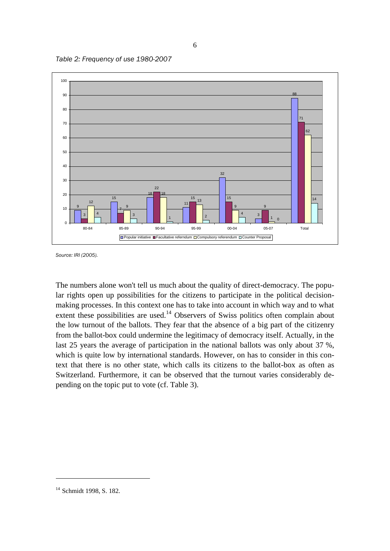



*Source: IRI (2005).*

The numbers alone won't tell us much about the quality of direct-democracy. The popular rights open up possibilities for the citizens to participate in the political decisionmaking processes. In this context one has to take into account in which way and to what extent these possibilities are used.<sup>14</sup> Observers of Swiss politics often complain about the low turnout of the ballots. They fear that the absence of a big part of the citizenry from the ballot-box could undermine the legitimacy of democracy itself. Actually, in the last 25 years the average of participation in the national ballots was only about 37 %, which is quite low by international standards. However, on has to consider in this context that there is no other state, which calls its citizens to the ballot-box as often as Switzerland. Furthermore, it can be observed that the turnout varies considerably depending on the topic put to vote (cf. Table 3).

<sup>&</sup>lt;sup>14</sup> Schmidt 1998, S. 182.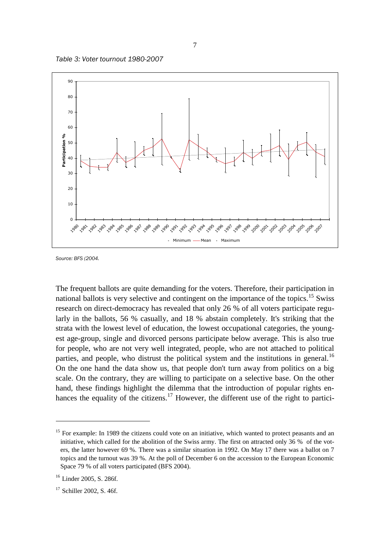



*Source: BFS (2004.*

The frequent ballots are quite demanding for the voters. Therefore, their participation in national ballots is very selective and contingent on the importance of the topics.<sup>15</sup> Swiss research on direct-democracy has revealed that only 26 % of all voters participate regularly in the ballots, 56 % casually, and 18 % abstain completely. It's striking that the strata with the lowest level of education, the lowest occupational categories, the youngest age-group, single and divorced persons participate below average. This is also true for people, who are not very well integrated, people, who are not attached to political parties, and people, who distrust the political system and the institutions in general.<sup>16</sup> On the one hand the data show us, that people don't turn away from politics on a big scale. On the contrary, they are willing to participate on a selective base. On the other hand, these findings highlight the dilemma that the introduction of popular rights enhances the equality of the citizens.<sup>17</sup> However, the different use of the right to partici-

<u>.</u>

<sup>&</sup>lt;sup>15</sup> For example: In 1989 the citizens could vote on an initiative, which wanted to protect peasants and an initiative, which called for the abolition of the Swiss army. The first on attracted only 36 % of the voters, the latter however 69 %. There was a similar situation in 1992. On May 17 there was a ballot on 7 topics and the turnout was 39 %. At the poll of December 6 on the accession to the European Economic Space 79 % of all voters participated (BFS 2004).

<sup>&</sup>lt;sup>16</sup> Linder 2005, S. 286f.

<sup>&</sup>lt;sup>17</sup> Schiller 2002, S. 46f.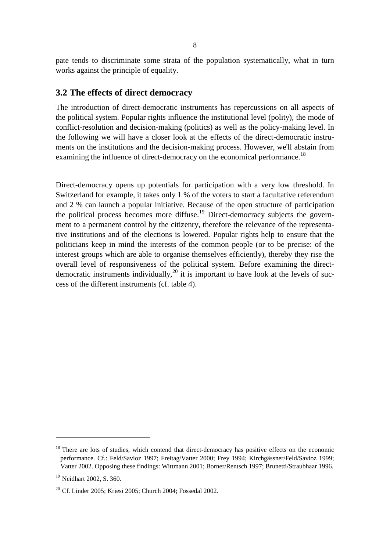pate tends to discriminate some strata of the population systematically, what in turn works against the principle of equality.

#### **3.2 The effects of direct democracy**

The introduction of direct-democratic instruments has repercussions on all aspects of the political system. Popular rights influence the institutional level (polity), the mode of conflict-resolution and decision-making (politics) as well as the policy-making level. In the following we will have a closer look at the effects of the direct-democratic instruments on the institutions and the decision-making process. However, we'll abstain from examining the influence of direct-democracy on the economical performance.<sup>18</sup>

Direct-democracy opens up potentials for participation with a very low threshold. In Switzerland for example, it takes only 1 % of the voters to start a facultative referendum and 2 % can launch a popular initiative. Because of the open structure of participation the political process becomes more diffuse.<sup>19</sup> Direct-democracy subjects the government to a permanent control by the citizenry, therefore the relevance of the representative institutions and of the elections is lowered. Popular rights help to ensure that the politicians keep in mind the interests of the common people (or to be precise: of the interest groups which are able to organise themselves efficiently), thereby they rise the overall level of responsiveness of the political system. Before examining the directdemocratic instruments individually,<sup>20</sup> it is important to have look at the levels of success of the different instruments (cf. table 4).

<sup>&</sup>lt;sup>18</sup> There are lots of studies, which contend that direct-democracy has positive effects on the economic performance. Cf.: Feld/Savioz 1997; Freitag/Vatter 2000; Frey 1994; Kirchgässner/Feld/Savioz 1999; Vatter 2002. Opposing these findings: Wittmann 2001; Borner/Rentsch 1997; Brunetti/Straubhaar 1996.

<sup>&</sup>lt;sup>19</sup> Neidhart 2002, S. 360.

<sup>20</sup> Cf. Linder 2005; Kriesi 2005; Church 2004; Fossedal 2002.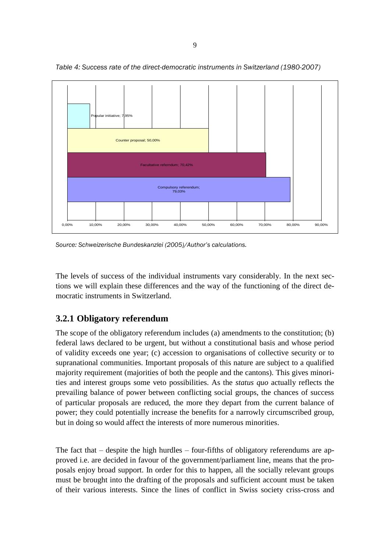

*Table 4: Success rate of the direct-democratic instruments in Switzerland (1980-2007)*

*Source: Schweizerische Bundeskanzlei (2005)/Author's calculations.*

The levels of success of the individual instruments vary considerably. In the next sections we will explain these differences and the way of the functioning of the direct democratic instruments in Switzerland.

## **3.2.1 Obligatory referendum**

The scope of the obligatory referendum includes (a) amendments to the constitution; (b) federal laws declared to be urgent, but without a constitutional basis and whose period of validity exceeds one year; (c) accession to organisations of collective security or to supranational communities. Important proposals of this nature are subject to a qualified majority requirement (majorities of both the people and the cantons). This gives minorities and interest groups some veto possibilities. As the *status quo* actually reflects the prevailing balance of power between conflicting social groups, the chances of success of particular proposals are reduced, the more they depart from the current balance of power; they could potentially increase the benefits for a narrowly circumscribed group, but in doing so would affect the interests of more numerous minorities.

The fact that – despite the high hurdles – four-fifths of obligatory referendums are approved i.e. are decided in favour of the government/parliament line, means that the proposals enjoy broad support. In order for this to happen, all the socially relevant groups must be brought into the drafting of the proposals and sufficient account must be taken of their various interests. Since the lines of conflict in Swiss society criss-cross and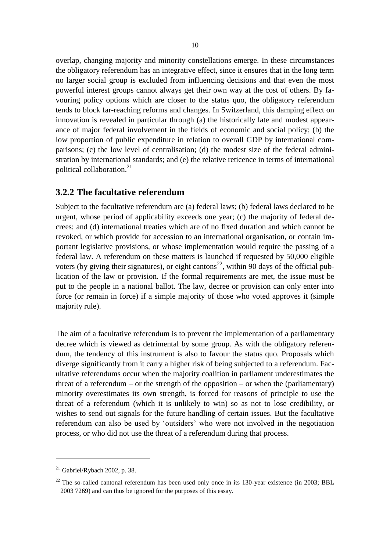overlap, changing majority and minority constellations emerge. In these circumstances the obligatory referendum has an integrative effect, since it ensures that in the long term no larger social group is excluded from influencing decisions and that even the most powerful interest groups cannot always get their own way at the cost of others. By favouring policy options which are closer to the status quo, the obligatory referendum tends to block far-reaching reforms and changes. In Switzerland, this damping effect on innovation is revealed in particular through (a) the historically late and modest appearance of major federal involvement in the fields of economic and social policy; (b) the low proportion of public expenditure in relation to overall GDP by international comparisons; (c) the low level of centralisation; (d) the modest size of the federal administration by international standards; and (e) the relative reticence in terms of international political collaboration.<sup>21</sup>

### **3.2.2 The facultative referendum**

Subject to the facultative referendum are (a) federal laws; (b) federal laws declared to be urgent, whose period of applicability exceeds one year; (c) the majority of federal decrees; and (d) international treaties which are of no fixed duration and which cannot be revoked, or which provide for accession to an international organisation, or contain important legislative provisions, or whose implementation would require the passing of a federal law. A referendum on these matters is launched if requested by 50,000 eligible voters (by giving their signatures), or eight cantons<sup>22</sup>, within 90 days of the official publication of the law or provision. If the formal requirements are met, the issue must be put to the people in a national ballot. The law, decree or provision can only enter into force (or remain in force) if a simple majority of those who voted approves it (simple majority rule).

The aim of a facultative referendum is to prevent the implementation of a parliamentary decree which is viewed as detrimental by some group. As with the obligatory referendum, the tendency of this instrument is also to favour the status quo. Proposals which diverge significantly from it carry a higher risk of being subjected to a referendum. Facultative referendums occur when the majority coalition in parliament underestimates the threat of a referendum – or the strength of the opposition – or when the (parliamentary) minority overestimates its own strength, is forced for reasons of principle to use the threat of a referendum (which it is unlikely to win) so as not to lose credibility, or wishes to send out signals for the future handling of certain issues. But the facultative referendum can also be used by "outsiders" who were not involved in the negotiation process, or who did not use the threat of a referendum during that process.

 $21$  Gabriel/Rybach 2002, p. 38.

 $22$  The so-called cantonal referendum has been used only once in its 130-year existence (in 2003; BBL 2003 7269) and can thus be ignored for the purposes of this essay.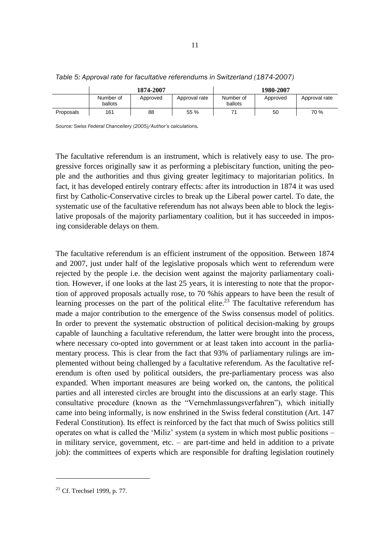|           | 1874-2007            |          |               | 1980-2007            |          |               |
|-----------|----------------------|----------|---------------|----------------------|----------|---------------|
|           | Number of<br>ballots | Approved | Approval rate | Number of<br>ballots | Approved | Approval rate |
| Proposals | 161                  | 88       | 55 %          |                      | 50       | 70 %          |

#### *Table 5: Approval rate for facultative referendums in Switzerland (1874-2007)*

*Source: Swiss Federal Chancellery (2005)/Author's calculations.*

The facultative referendum is an instrument, which is relatively easy to use. The progressive forces originally saw it as performing a plebiscitary function, uniting the people and the authorities and thus giving greater legitimacy to majoritarian politics. In fact, it has developed entirely contrary effects: after its introduction in 1874 it was used first by Catholic-Conservative circles to break up the Liberal power cartel. To date, the systematic use of the facultative referendum has not always been able to block the legislative proposals of the majority parliamentary coalition, but it has succeeded in imposing considerable delays on them.

The facultative referendum is an efficient instrument of the opposition. Between 1874 and 2007, just under half of the legislative proposals which went to referendum were rejected by the people i.e. the decision went against the majority parliamentary coalition. However, if one looks at the last 25 years, it is interesting to note that the proportion of approved proposals actually rose, to 70 %his appears to have been the result of learning processes on the part of the political elite.<sup>23</sup> The facultative referendum has made a major contribution to the emergence of the Swiss consensus model of politics. In order to prevent the systematic obstruction of political decision-making by groups capable of launching a facultative referendum, the latter were brought into the process, where necessary co-opted into government or at least taken into account in the parliamentary process. This is clear from the fact that 93% of parliamentary rulings are implemented without being challenged by a facultative referendum. As the facultative referendum is often used by political outsiders, the pre-parliamentary process was also expanded. When important measures are being worked on, the cantons, the political parties and all interested circles are brought into the discussions at an early stage. This consultative procedure (known as the "Vernehmlassungsverfahren"), which initially came into being informally, is now enshrined in the Swiss federal constitution (Art. 147 Federal Constitution). Its effect is reinforced by the fact that much of Swiss politics still operates on what is called the "Miliz" system (a system in which most public positions – in military service, government, etc. – are part-time and held in addition to a private job): the committees of experts which are responsible for drafting legislation routinely

<sup>23</sup> Cf. Trechsel 1999, p. 77.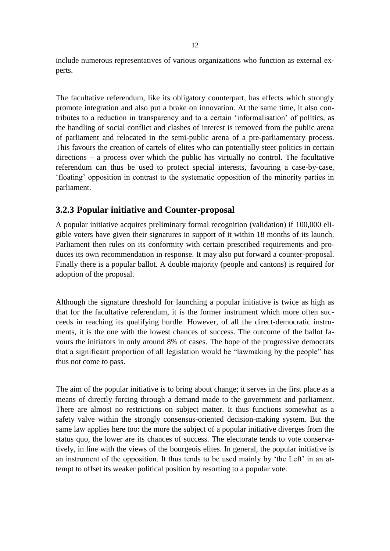include numerous representatives of various organizations who function as external experts.

The facultative referendum, like its obligatory counterpart, has effects which strongly promote integration and also put a brake on innovation. At the same time, it also contributes to a reduction in transparency and to a certain "informalisation" of politics, as the handling of social conflict and clashes of interest is removed from the public arena of parliament and relocated in the semi-public arena of a pre-parliamentary process. This favours the creation of cartels of elites who can potentially steer politics in certain directions – a process over which the public has virtually no control. The facultative referendum can thus be used to protect special interests, favouring a case-by-case, "floating" opposition in contrast to the systematic opposition of the minority parties in parliament.

### **3.2.3 Popular initiative and Counter-proposal**

A popular initiative acquires preliminary formal recognition (validation) if 100,000 eligible voters have given their signatures in support of it within 18 months of its launch. Parliament then rules on its conformity with certain prescribed requirements and produces its own recommendation in response. It may also put forward a counter-proposal. Finally there is a popular ballot. A double majority (people and cantons) is required for adoption of the proposal.

Although the signature threshold for launching a popular initiative is twice as high as that for the facultative referendum, it is the former instrument which more often succeeds in reaching its qualifying hurdle. However, of all the direct-democratic instruments, it is the one with the lowest chances of success. The outcome of the ballot favours the initiators in only around 8% of cases. The hope of the progressive democrats that a significant proportion of all legislation would be "lawmaking by the people" has thus not come to pass.

The aim of the popular initiative is to bring about change; it serves in the first place as a means of directly forcing through a demand made to the government and parliament. There are almost no restrictions on subject matter. It thus functions somewhat as a safety valve within the strongly consensus-oriented decision-making system. But the same law applies here too: the more the subject of a popular initiative diverges from the status quo, the lower are its chances of success. The electorate tends to vote conservatively, in line with the views of the bourgeois elites. In general, the popular initiative is an instrument of the opposition. It thus tends to be used mainly by 'the Left' in an attempt to offset its weaker political position by resorting to a popular vote.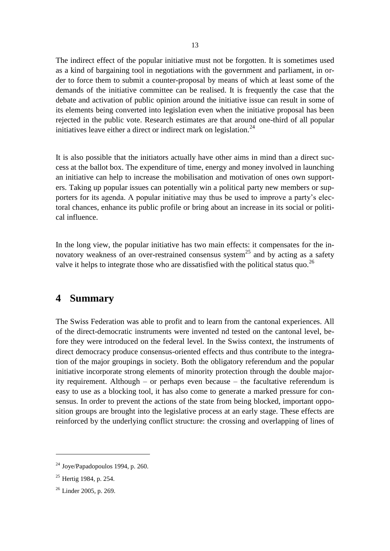The indirect effect of the popular initiative must not be forgotten. It is sometimes used as a kind of bargaining tool in negotiations with the government and parliament, in order to force them to submit a counter-proposal by means of which at least some of the demands of the initiative committee can be realised. It is frequently the case that the debate and activation of public opinion around the initiative issue can result in some of its elements being converted into legislation even when the initiative proposal has been rejected in the public vote. Research estimates are that around one-third of all popular initiatives leave either a direct or indirect mark on legislation.<sup>24</sup>

It is also possible that the initiators actually have other aims in mind than a direct success at the ballot box. The expenditure of time, energy and money involved in launching an initiative can help to increase the mobilisation and motivation of ones own supporters. Taking up popular issues can potentially win a political party new members or supporters for its agenda. A popular initiative may thus be used to improve a party"s electoral chances, enhance its public profile or bring about an increase in its social or political influence.

In the long view, the popular initiative has two main effects: it compensates for the innovatory weakness of an over-restrained consensus system<sup>25</sup> and by acting as a safety valve it helps to integrate those who are dissatisfied with the political status quo.<sup>26</sup>

## **4 Summary**

The Swiss Federation was able to profit and to learn from the cantonal experiences. All of the direct-democratic instruments were invented nd tested on the cantonal level, before they were introduced on the federal level. In the Swiss context, the instruments of direct democracy produce consensus-oriented effects and thus contribute to the integration of the major groupings in society. Both the obligatory referendum and the popular initiative incorporate strong elements of minority protection through the double majority requirement. Although – or perhaps even because – the facultative referendum is easy to use as a blocking tool, it has also come to generate a marked pressure for consensus. In order to prevent the actions of the state from being blocked, important opposition groups are brought into the legislative process at an early stage. These effects are reinforced by the underlying conflict structure: the crossing and overlapping of lines of

 $24$  Joye/Papadopoulos 1994, p. 260.

<sup>&</sup>lt;sup>25</sup> Hertig 1984, p. 254.

<sup>&</sup>lt;sup>26</sup> Linder 2005, p. 269.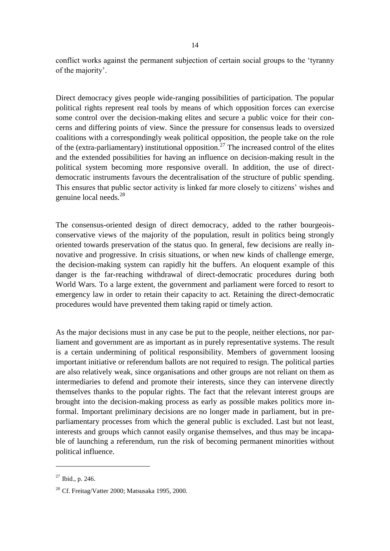conflict works against the permanent subjection of certain social groups to the "tyranny of the majority'.

Direct democracy gives people wide-ranging possibilities of participation. The popular political rights represent real tools by means of which opposition forces can exercise some control over the decision-making elites and secure a public voice for their concerns and differing points of view. Since the pressure for consensus leads to oversized coalitions with a correspondingly weak political opposition, the people take on the role of the (extra-parliamentary) institutional opposition.<sup>27</sup> The increased control of the elites and the extended possibilities for having an influence on decision-making result in the political system becoming more responsive overall. In addition, the use of directdemocratic instruments favours the decentralisation of the structure of public spending. This ensures that public sector activity is linked far more closely to citizens" wishes and genuine local needs.<sup>28</sup>

The consensus-oriented design of direct democracy, added to the rather bourgeoisconservative views of the majority of the population, result in politics being strongly oriented towards preservation of the status quo. In general, few decisions are really innovative and progressive. In crisis situations, or when new kinds of challenge emerge, the decision-making system can rapidly hit the buffers. An eloquent example of this danger is the far-reaching withdrawal of direct-democratic procedures during both World Wars. To a large extent, the government and parliament were forced to resort to emergency law in order to retain their capacity to act. Retaining the direct-democratic procedures would have prevented them taking rapid or timely action.

As the major decisions must in any case be put to the people, neither elections, nor parliament and government are as important as in purely representative systems. The result is a certain undermining of political responsibility. Members of government loosing important initiative or referendum ballots are not required to resign. The political parties are also relatively weak, since organisations and other groups are not reliant on them as intermediaries to defend and promote their interests, since they can intervene directly themselves thanks to the popular rights. The fact that the relevant interest groups are brought into the decision-making process as early as possible makes politics more informal. Important preliminary decisions are no longer made in parliament, but in preparliamentary processes from which the general public is excluded. Last but not least, interests and groups which cannot easily organise themselves, and thus may be incapable of launching a referendum, run the risk of becoming permanent minorities without political influence.

 $27$  Ibid., p. 246.

<sup>28</sup> Cf. Freitag/Vatter 2000; Matsusaka 1995, 2000.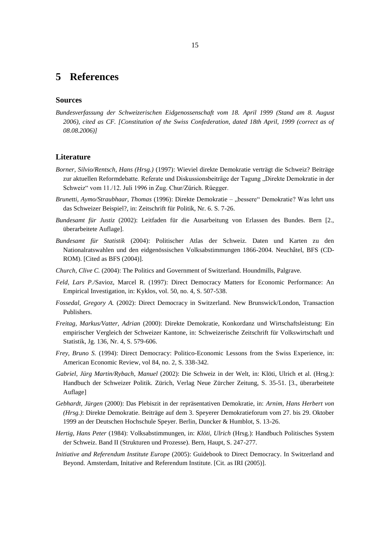### **5 References**

#### **Sources**

*Bundesverfassung der Schweizerischen Eidgenossenschaft vom 18. April 1999 (Stand am 8. August 2006), cited as CF. [Constitution of the Swiss Confederation, dated 18th April, 1999 (correct as of 08.08.2006)]*

#### **Literature**

- *Borner, Silvio/Rentsch, Hans (Hrsg.)* (1997): Wieviel direkte Demokratie verträgt die Schweiz? Beiträge zur aktuellen Reformdebatte. Referate und Diskussionsbeiträge der Tagung "Direkte Demokratie in der Schweiz" vom 11./12. Juli 1996 in Zug. Chur/Zürich. Rüegger.
- *Brunetti, Aymo/Straubhaar, Thomas* (1996): Direkte Demokratie "bessere" Demokratie? Was lehrt uns das Schweizer Beispiel?, in: Zeitschrift für Politik, Nr. 6. S. 7-26.
- *Bundesamt für Justiz* (2002): Leitfaden für die Ausarbeitung von Erlassen des Bundes. Bern [2., überarbeitete Auflage].
- *Bundesamt für Statistik* (2004): Politischer Atlas der Schweiz. Daten und Karten zu den Nationalratswahlen und den eidgenössischen Volksabstimmungen 1866-2004. Neuchâtel, BFS (CD-ROM). [Cited as BFS (2004)].
- *Church, Clive C.* (2004): The Politics and Government of Switzerland. Houndmills, Palgrave.
- *Feld, Lars P.*/Savioz, Marcel R. (1997): Direct Democracy Matters for Economic Performance: An Empirical Investigation, in: Kyklos, vol. 50, no. 4, S. 507-538.
- *Fossedal, Gregory A.* (2002): Direct Democracy in Switzerland. New Brunswick/London, Transaction Publishers.
- *Freitag, Markus/Vatter, Adrian* (2000): Direkte Demokratie, Konkordanz und Wirtschaftsleistung: Ein empirischer Vergleich der Schweizer Kantone, in: Schweizerische Zeitschrift für Volkswirtschaft und Statistik, Jg. 136, Nr. 4, S. 579-606.
- *Frey, Bruno S.* (1994): Direct Democracy: Politico-Economic Lessons from the Swiss Experience, in: American Economic Review, vol 84, no. 2, S. 338-342.
- *Gabriel, Jürg Martin/Rybach, Manuel* (2002): Die Schweiz in der Welt, in: Klöti, Ulrich et al. (Hrsg.): Handbuch der Schweizer Politik. Zürich, Verlag Neue Zürcher Zeitung, S. 35-51. [3., überarbeitete Auflage]
- *Gebhardt, Jürgen* (2000): Das Plebiszit in der repräsentativen Demokratie, in: *Arnim, Hans Herbert von (Hrsg.)*: Direkte Demokratie. Beiträge auf dem 3. Speyerer Demokratieforum vom 27. bis 29. Oktober 1999 an der Deutschen Hochschule Speyer. Berlin, Duncker & Humblot, S. 13-26.
- *Hertig, Hans Peter* (1984): Volksabstimmungen, in: *Klöti, Ulrich* (Hrsg.): Handbuch Politisches System der Schweiz. Band II (Strukturen und Prozesse). Bern, Haupt, S. 247-277.
- *Initiative and Referendum Institute Europe* (2005): Guidebook to Direct Democracy. In Switzerland and Beyond. Amsterdam, Initative and Referendum Institute. [Cit. as IRI (2005)].